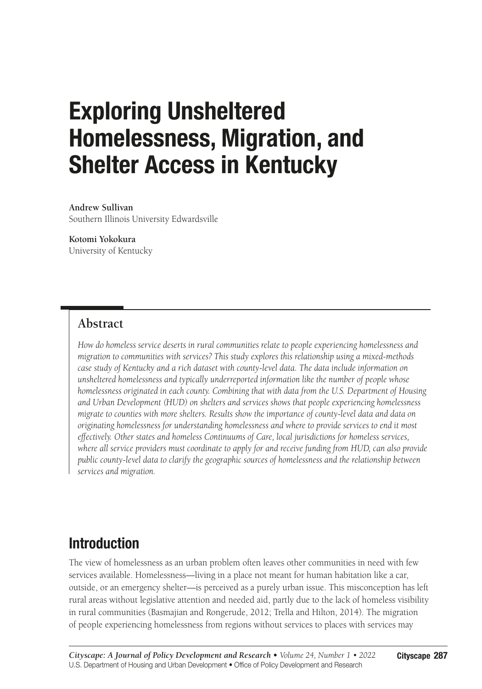# Exploring Unsheltered Homelessness, Migration, and Shelter Access in Kentucky

**Andrew Sullivan** Southern Illinois University Edwardsville

**Kotomi Yokokura** University of Kentucky

## **Abstract**

*How do homeless service deserts in rural communities relate to people experiencing homelessness and migration to communities with services? This study explores this relationship using a mixed-methods case study of Kentucky and a rich dataset with county-level data. The data include information on unsheltered homelessness and typically underreported information like the number of people whose homelessness originated in each county. Combining that with data from the U.S. Department of Housing and Urban Development (HUD) on shelters and services shows that people experiencing homelessness migrate to counties with more shelters. Results show the importance of county-level data and data on originating homelessness for understanding homelessness and where to provide services to end it most effectively. Other states and homeless Continuums of Care, local jurisdictions for homeless services, where all service providers must coordinate to apply for and receive funding from HUD, can also provide public county-level data to clarify the geographic sources of homelessness and the relationship between services and migration.*

## Introduction

The view of homelessness as an urban problem often leaves other communities in need with few services available. Homelessness—living in a place not meant for human habitation like a car, outside, or an emergency shelter—is perceived as a purely urban issue. This misconception has left rural areas without legislative attention and needed aid, partly due to the lack of homeless visibility in rural communities (Basmajian and Rongerude, 2012; Trella and Hilton, 2014). The migration of people experiencing homelessness from regions without services to places with services may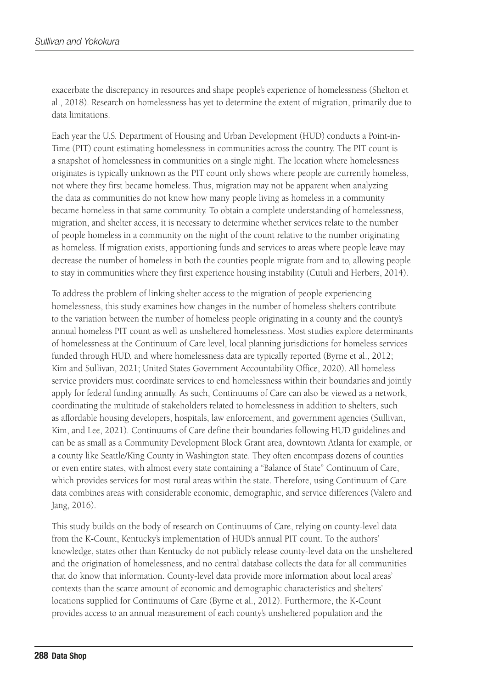exacerbate the discrepancy in resources and shape people's experience of homelessness (Shelton et al., 2018). Research on homelessness has yet to determine the extent of migration, primarily due to data limitations.

Each year the U.S. Department of Housing and Urban Development (HUD) conducts a Point-in-Time (PIT) count estimating homelessness in communities across the country. The PIT count is a snapshot of homelessness in communities on a single night. The location where homelessness originates is typically unknown as the PIT count only shows where people are currently homeless, not where they first became homeless. Thus, migration may not be apparent when analyzing the data as communities do not know how many people living as homeless in a community became homeless in that same community. To obtain a complete understanding of homelessness, migration, and shelter access, it is necessary to determine whether services relate to the number of people homeless in a community on the night of the count relative to the number originating as homeless. If migration exists, apportioning funds and services to areas where people leave may decrease the number of homeless in both the counties people migrate from and to, allowing people to stay in communities where they first experience housing instability (Cutuli and Herbers, 2014).

To address the problem of linking shelter access to the migration of people experiencing homelessness, this study examines how changes in the number of homeless shelters contribute to the variation between the number of homeless people originating in a county and the county's annual homeless PIT count as well as unsheltered homelessness. Most studies explore determinants of homelessness at the Continuum of Care level, local planning jurisdictions for homeless services funded through HUD, and where homelessness data are typically reported (Byrne et al., 2012; Kim and Sullivan, 2021; United States Government Accountability Office, 2020). All homeless service providers must coordinate services to end homelessness within their boundaries and jointly apply for federal funding annually. As such, Continuums of Care can also be viewed as a network, coordinating the multitude of stakeholders related to homelessness in addition to shelters, such as affordable housing developers, hospitals, law enforcement, and government agencies (Sullivan, Kim, and Lee, 2021). Continuums of Care define their boundaries following HUD guidelines and can be as small as a Community Development Block Grant area, downtown Atlanta for example, or a county like Seattle/King County in Washington state. They often encompass dozens of counties or even entire states, with almost every state containing a "Balance of State" Continuum of Care, which provides services for most rural areas within the state. Therefore, using Continuum of Care data combines areas with considerable economic, demographic, and service differences (Valero and Jang, 2016).

This study builds on the body of research on Continuums of Care, relying on county-level data from the K-Count, Kentucky's implementation of HUD's annual PIT count. To the authors' knowledge, states other than Kentucky do not publicly release county-level data on the unsheltered and the origination of homelessness, and no central database collects the data for all communities that do know that information. County-level data provide more information about local areas' contexts than the scarce amount of economic and demographic characteristics and shelters' locations supplied for Continuums of Care (Byrne et al., 2012). Furthermore, the K-Count provides access to an annual measurement of each county's unsheltered population and the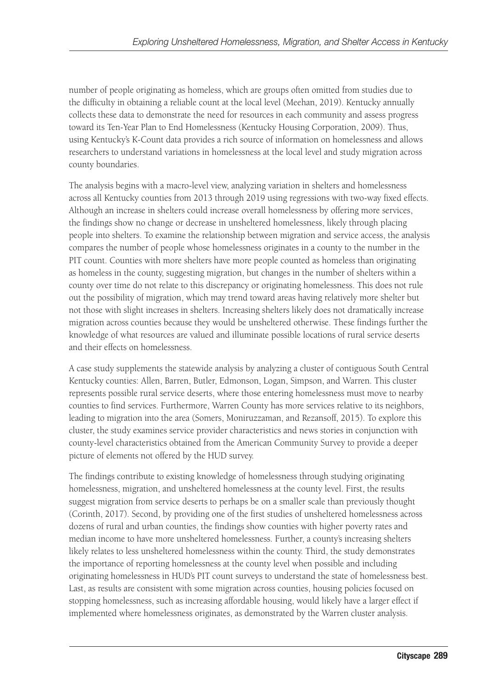number of people originating as homeless, which are groups often omitted from studies due to the difficulty in obtaining a reliable count at the local level (Meehan, 2019). Kentucky annually collects these data to demonstrate the need for resources in each community and assess progress toward its Ten-Year Plan to End Homelessness (Kentucky Housing Corporation, 2009). Thus, using Kentucky's K-Count data provides a rich source of information on homelessness and allows researchers to understand variations in homelessness at the local level and study migration across county boundaries.

The analysis begins with a macro-level view, analyzing variation in shelters and homelessness across all Kentucky counties from 2013 through 2019 using regressions with two-way fixed effects. Although an increase in shelters could increase overall homelessness by offering more services, the findings show no change or decrease in unsheltered homelessness, likely through placing people into shelters. To examine the relationship between migration and service access, the analysis compares the number of people whose homelessness originates in a county to the number in the PIT count. Counties with more shelters have more people counted as homeless than originating as homeless in the county, suggesting migration, but changes in the number of shelters within a county over time do not relate to this discrepancy or originating homelessness. This does not rule out the possibility of migration, which may trend toward areas having relatively more shelter but not those with slight increases in shelters. Increasing shelters likely does not dramatically increase migration across counties because they would be unsheltered otherwise. These findings further the knowledge of what resources are valued and illuminate possible locations of rural service deserts and their effects on homelessness.

A case study supplements the statewide analysis by analyzing a cluster of contiguous South Central Kentucky counties: Allen, Barren, Butler, Edmonson, Logan, Simpson, and Warren. This cluster represents possible rural service deserts, where those entering homelessness must move to nearby counties to find services. Furthermore, Warren County has more services relative to its neighbors, leading to migration into the area (Somers, Moniruzzaman, and Rezansoff, 2015). To explore this cluster, the study examines service provider characteristics and news stories in conjunction with county-level characteristics obtained from the American Community Survey to provide a deeper picture of elements not offered by the HUD survey.

The findings contribute to existing knowledge of homelessness through studying originating homelessness, migration, and unsheltered homelessness at the county level. First, the results suggest migration from service deserts to perhaps be on a smaller scale than previously thought (Corinth, 2017). Second, by providing one of the first studies of unsheltered homelessness across dozens of rural and urban counties, the findings show counties with higher poverty rates and median income to have more unsheltered homelessness. Further, a county's increasing shelters likely relates to less unsheltered homelessness within the county. Third, the study demonstrates the importance of reporting homelessness at the county level when possible and including originating homelessness in HUD's PIT count surveys to understand the state of homelessness best. Last, as results are consistent with some migration across counties, housing policies focused on stopping homelessness, such as increasing affordable housing, would likely have a larger effect if implemented where homelessness originates, as demonstrated by the Warren cluster analysis.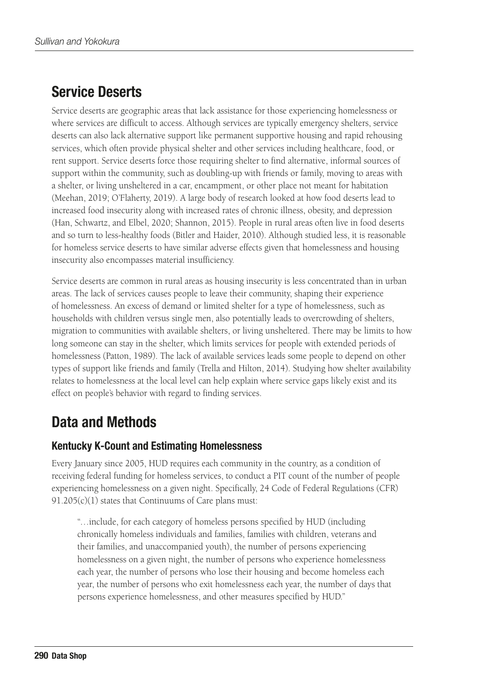## Service Deserts

Service deserts are geographic areas that lack assistance for those experiencing homelessness or where services are difficult to access. Although services are typically emergency shelters, service deserts can also lack alternative support like permanent supportive housing and rapid rehousing services, which often provide physical shelter and other services including healthcare, food, or rent support. Service deserts force those requiring shelter to find alternative, informal sources of support within the community, such as doubling-up with friends or family, moving to areas with a shelter, or living unsheltered in a car, encampment, or other place not meant for habitation (Meehan, 2019; O'Flaherty, 2019). A large body of research looked at how food deserts lead to increased food insecurity along with increased rates of chronic illness, obesity, and depression (Han, Schwartz, and Elbel, 2020; Shannon, 2015). People in rural areas often live in food deserts and so turn to less-healthy foods (Bitler and Haider, 2010). Although studied less, it is reasonable for homeless service deserts to have similar adverse effects given that homelessness and housing insecurity also encompasses material insufficiency.

Service deserts are common in rural areas as housing insecurity is less concentrated than in urban areas. The lack of services causes people to leave their community, shaping their experience of homelessness. An excess of demand or limited shelter for a type of homelessness, such as households with children versus single men, also potentially leads to overcrowding of shelters, migration to communities with available shelters, or living unsheltered. There may be limits to how long someone can stay in the shelter, which limits services for people with extended periods of homelessness (Patton, 1989). The lack of available services leads some people to depend on other types of support like friends and family (Trella and Hilton, 2014). Studying how shelter availability relates to homelessness at the local level can help explain where service gaps likely exist and its effect on people's behavior with regard to finding services.

## Data and Methods

## Kentucky K-Count and Estimating Homelessness

Every January since 2005, HUD requires each community in the country, as a condition of receiving federal funding for homeless services, to conduct a PIT count of the number of people experiencing homelessness on a given night. Specifically, 24 Code of Federal Regulations (CFR) 91.205(c)(1) states that Continuums of Care plans must:

"…include, for each category of homeless persons specified by HUD (including chronically homeless individuals and families, families with children, veterans and their families, and unaccompanied youth), the number of persons experiencing homelessness on a given night, the number of persons who experience homelessness each year, the number of persons who lose their housing and become homeless each year, the number of persons who exit homelessness each year, the number of days that persons experience homelessness, and other measures specified by HUD."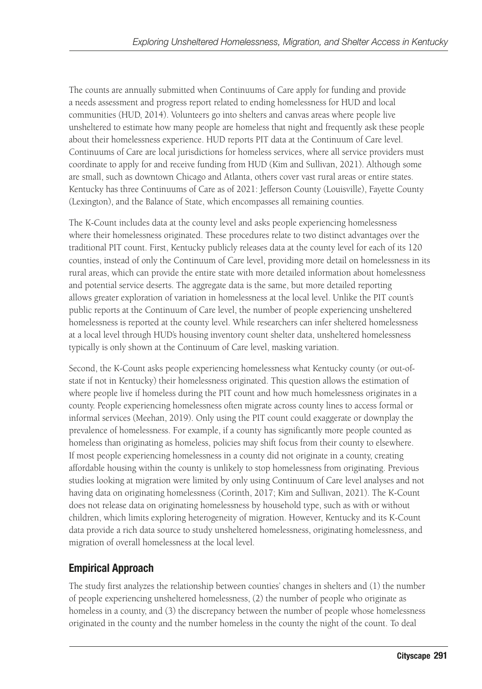The counts are annually submitted when Continuums of Care apply for funding and provide a needs assessment and progress report related to ending homelessness for HUD and local communities (HUD, 2014). Volunteers go into shelters and canvas areas where people live unsheltered to estimate how many people are homeless that night and frequently ask these people about their homelessness experience. HUD reports PIT data at the Continuum of Care level. Continuums of Care are local jurisdictions for homeless services, where all service providers must coordinate to apply for and receive funding from HUD (Kim and Sullivan, 2021). Although some are small, such as downtown Chicago and Atlanta, others cover vast rural areas or entire states. Kentucky has three Continuums of Care as of 2021: Jefferson County (Louisville), Fayette County (Lexington), and the Balance of State, which encompasses all remaining counties.

The K-Count includes data at the county level and asks people experiencing homelessness where their homelessness originated. These procedures relate to two distinct advantages over the traditional PIT count. First, Kentucky publicly releases data at the county level for each of its 120 counties, instead of only the Continuum of Care level, providing more detail on homelessness in its rural areas, which can provide the entire state with more detailed information about homelessness and potential service deserts. The aggregate data is the same, but more detailed reporting allows greater exploration of variation in homelessness at the local level. Unlike the PIT count's public reports at the Continuum of Care level, the number of people experiencing unsheltered homelessness is reported at the county level. While researchers can infer sheltered homelessness at a local level through HUD's housing inventory count shelter data, unsheltered homelessness typically is only shown at the Continuum of Care level, masking variation.

Second, the K-Count asks people experiencing homelessness what Kentucky county (or out-ofstate if not in Kentucky) their homelessness originated. This question allows the estimation of where people live if homeless during the PIT count and how much homelessness originates in a county. People experiencing homelessness often migrate across county lines to access formal or informal services (Meehan, 2019). Only using the PIT count could exaggerate or downplay the prevalence of homelessness. For example, if a county has significantly more people counted as homeless than originating as homeless, policies may shift focus from their county to elsewhere. If most people experiencing homelessness in a county did not originate in a county, creating affordable housing within the county is unlikely to stop homelessness from originating. Previous studies looking at migration were limited by only using Continuum of Care level analyses and not having data on originating homelessness (Corinth, 2017; Kim and Sullivan, 2021). The K-Count does not release data on originating homelessness by household type, such as with or without children, which limits exploring heterogeneity of migration. However, Kentucky and its K-Count data provide a rich data source to study unsheltered homelessness, originating homelessness, and migration of overall homelessness at the local level.

## Empirical Approach

The study first analyzes the relationship between counties' changes in shelters and (1) the number of people experiencing unsheltered homelessness, (2) the number of people who originate as homeless in a county, and (3) the discrepancy between the number of people whose homelessness originated in the county and the number homeless in the county the night of the count. To deal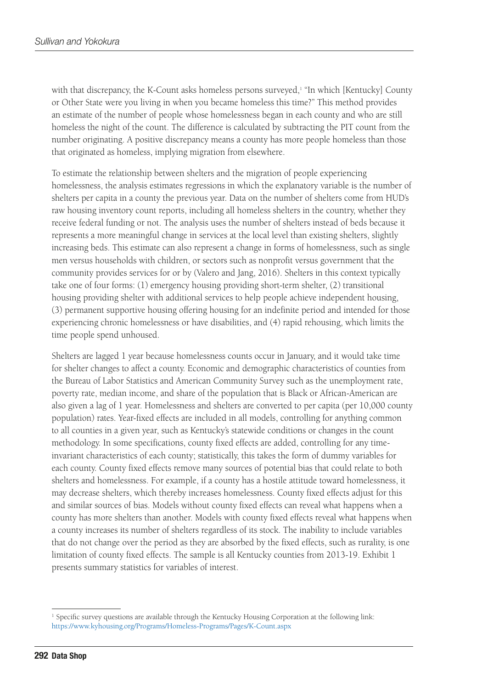with that discrepancy, the K-Count asks homeless persons surveyed,<sup>1</sup> "In which [Kentucky] County or Other State were you living in when you became homeless this time?" This method provides an estimate of the number of people whose homelessness began in each county and who are still homeless the night of the count. The difference is calculated by subtracting the PIT count from the number originating. A positive discrepancy means a county has more people homeless than those that originated as homeless, implying migration from elsewhere.

To estimate the relationship between shelters and the migration of people experiencing homelessness, the analysis estimates regressions in which the explanatory variable is the number of shelters per capita in a county the previous year. Data on the number of shelters come from HUD's raw housing inventory count reports, including all homeless shelters in the country, whether they receive federal funding or not. The analysis uses the number of shelters instead of beds because it represents a more meaningful change in services at the local level than existing shelters, slightly increasing beds. This estimate can also represent a change in forms of homelessness, such as single men versus households with children, or sectors such as nonprofit versus government that the community provides services for or by (Valero and Jang, 2016). Shelters in this context typically take one of four forms: (1) emergency housing providing short-term shelter, (2) transitional housing providing shelter with additional services to help people achieve independent housing, (3) permanent supportive housing offering housing for an indefinite period and intended for those experiencing chronic homelessness or have disabilities, and (4) rapid rehousing, which limits the time people spend unhoused.

Shelters are lagged 1 year because homelessness counts occur in January, and it would take time for shelter changes to affect a county. Economic and demographic characteristics of counties from the Bureau of Labor Statistics and American Community Survey such as the unemployment rate, poverty rate, median income, and share of the population that is Black or African-American are also given a lag of 1 year. Homelessness and shelters are converted to per capita (per 10,000 county population) rates. Year-fixed effects are included in all models, controlling for anything common to all counties in a given year, such as Kentucky's statewide conditions or changes in the count methodology. In some specifications, county fixed effects are added, controlling for any timeinvariant characteristics of each county; statistically, this takes the form of dummy variables for each county. County fixed effects remove many sources of potential bias that could relate to both shelters and homelessness. For example, if a county has a hostile attitude toward homelessness, it may decrease shelters, which thereby increases homelessness. County fixed effects adjust for this and similar sources of bias. Models without county fixed effects can reveal what happens when a county has more shelters than another. Models with county fixed effects reveal what happens when a county increases its number of shelters regardless of its stock. The inability to include variables that do not change over the period as they are absorbed by the fixed effects, such as rurality, is one limitation of county fixed effects. The sample is all Kentucky counties from 2013-19. Exhibit 1 presents summary statistics for variables of interest.

<sup>&</sup>lt;sup>1</sup> Specific survey questions are available through the Kentucky Housing Corporation at the following link: <https://www.kyhousing.org/Programs/Homeless-Programs/Pages/K-Count.aspx>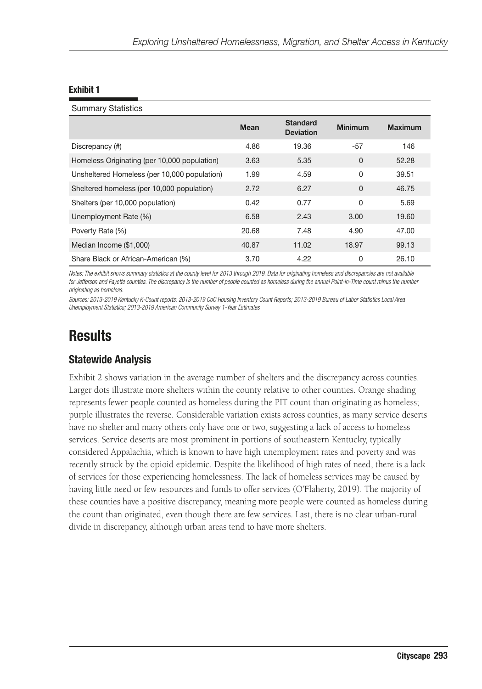### Summary Statistics

|                                              | <b>Mean</b> | <b>Standard</b><br><b>Deviation</b> | <b>Minimum</b> | <b>Maximum</b> |
|----------------------------------------------|-------------|-------------------------------------|----------------|----------------|
| Discrepancy (#)                              | 4.86        | 19.36                               | $-57$          | 146            |
| Homeless Originating (per 10,000 population) | 3.63        | 5.35                                | $\mathbf{0}$   | 52.28          |
| Unsheltered Homeless (per 10,000 population) | 1.99        | 4.59                                | 0              | 39.51          |
| Sheltered homeless (per 10,000 population)   | 2.72        | 6.27                                | $\mathbf{0}$   | 46.75          |
| Shelters (per 10,000 population)             | 0.42        | 0.77                                | $\Omega$       | 5.69           |
| Unemployment Rate (%)                        | 6.58        | 2.43                                | 3.00           | 19.60          |
| Poverty Rate (%)                             | 20.68       | 7.48                                | 4.90           | 47.00          |
| Median Income (\$1,000)                      | 40.87       | 11.02                               | 18.97          | 99.13          |
| Share Black or African-American (%)          | 3.70        | 4.22                                | 0              | 26.10          |

*Notes: The exhibit shows summary statistics at the county level for 2013 through 2019. Data for originating homeless and discrepancies are not available*  for Jefferson and Fayette counties. The discrepancy is the number of people counted as homeless during the annual Point-in-Time count minus the number *originating as homeless.*

*Sources: 2013-2019 Kentucky K-Count reports; 2013-2019 CoC Housing Inventory Count Reports; 2013-2019 Bureau of Labor Statistics Local Area Unemployment Statistics; 2013-2019 American Community Survey 1-Year Estimates*

## **Results**

### Statewide Analysis

Exhibit 2 shows variation in the average number of shelters and the discrepancy across counties. Larger dots illustrate more shelters within the county relative to other counties. Orange shading represents fewer people counted as homeless during the PIT count than originating as homeless; purple illustrates the reverse. Considerable variation exists across counties, as many service deserts have no shelter and many others only have one or two, suggesting a lack of access to homeless services. Service deserts are most prominent in portions of southeastern Kentucky, typically considered Appalachia, which is known to have high unemployment rates and poverty and was recently struck by the opioid epidemic. Despite the likelihood of high rates of need, there is a lack of services for those experiencing homelessness. The lack of homeless services may be caused by having little need or few resources and funds to offer services (O'Flaherty, 2019). The majority of these counties have a positive discrepancy, meaning more people were counted as homeless during the count than originated, even though there are few services. Last, there is no clear urban-rural divide in discrepancy, although urban areas tend to have more shelters.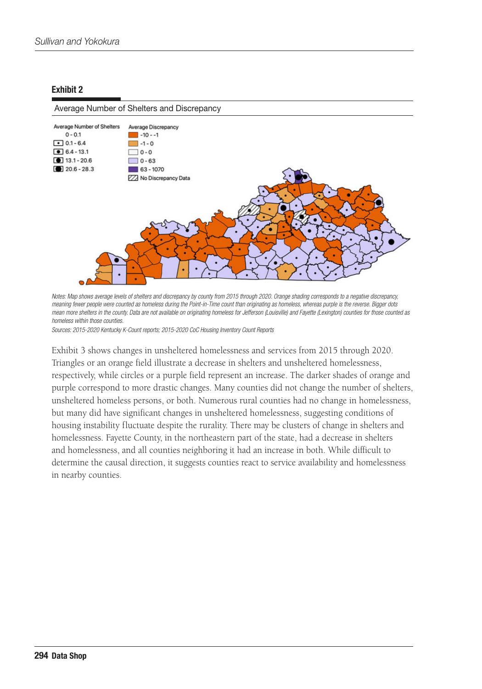### Average Number of Shelters and Discrepancy



*Notes: Map shows average levels of shelters and discrepancy by county from 2015 through 2020. Orange shading corresponds to a negative discrepancy, meaning fewer people were counted as homeless during the Point-in-Time count than originating as homeless, whereas purple is the reverse. Bigger dots mean more shelters in the county. Data are not available on originating homeless for Jefferson (Louisville) and Fayette (Lexington) counties for those counted as homeless within those counties.*

*Sources: 2015-2020 Kentucky K-Count reports; 2015-2020 CoC Housing Inventory Count Reports*

Exhibit 3 shows changes in unsheltered homelessness and services from 2015 through 2020. Triangles or an orange field illustrate a decrease in shelters and unsheltered homelessness, respectively, while circles or a purple field represent an increase. The darker shades of orange and purple correspond to more drastic changes. Many counties did not change the number of shelters, unsheltered homeless persons, or both. Numerous rural counties had no change in homelessness, but many did have significant changes in unsheltered homelessness, suggesting conditions of housing instability fluctuate despite the rurality. There may be clusters of change in shelters and homelessness. Fayette County, in the northeastern part of the state, had a decrease in shelters and homelessness, and all counties neighboring it had an increase in both. While difficult to determine the causal direction, it suggests counties react to service availability and homelessness in nearby counties.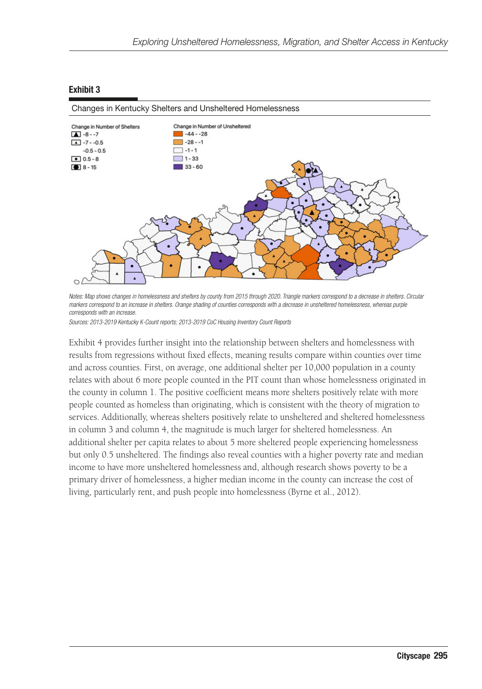

*Notes: Map shows changes in homelessness and shelters by county from 2015 through 2020. Triangle markers correspond to a decrease in shelters. Circular*  markers correspond to an increase in shelters. Orange shading of counties corresponds with a decrease in unsheltered homelessness, whereas purple *corresponds with an increase.* 

*Sources: 2013-2019 Kentucky K-Count reports; 2013-2019 CoC Housing Inventory Count Reports*

Exhibit 4 provides further insight into the relationship between shelters and homelessness with results from regressions without fixed effects, meaning results compare within counties over time and across counties. First, on average, one additional shelter per 10,000 population in a county relates with about 6 more people counted in the PIT count than whose homelessness originated in the county in column 1. The positive coefficient means more shelters positively relate with more people counted as homeless than originating, which is consistent with the theory of migration to services. Additionally, whereas shelters positively relate to unsheltered and sheltered homelessness in column 3 and column 4, the magnitude is much larger for sheltered homelessness. An additional shelter per capita relates to about 5 more sheltered people experiencing homelessness but only 0.5 unsheltered. The findings also reveal counties with a higher poverty rate and median income to have more unsheltered homelessness and, although research shows poverty to be a primary driver of homelessness, a higher median income in the county can increase the cost of living, particularly rent, and push people into homelessness (Byrne et al., 2012).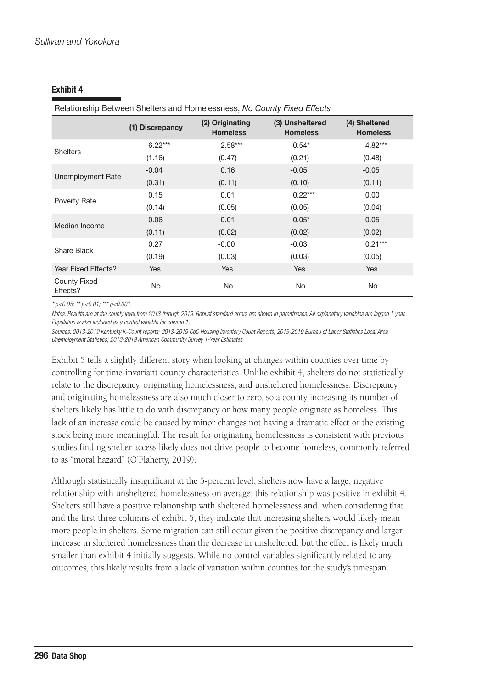| Relationship Between Shelters and Homelessness, No County Fixed Effects |                 |                                    |                                    |                                  |
|-------------------------------------------------------------------------|-----------------|------------------------------------|------------------------------------|----------------------------------|
|                                                                         | (1) Discrepancy | (2) Originating<br><b>Homeless</b> | (3) Unsheltered<br><b>Homeless</b> | (4) Sheltered<br><b>Homeless</b> |
| <b>Shelters</b>                                                         | $6.22***$       | $2.58***$                          | $0.54*$                            | $4.82***$                        |
|                                                                         | (1.16)          | (0.47)                             | (0.21)                             | (0.48)                           |
| Unemployment Rate                                                       | $-0.04$         | 0.16                               | $-0.05$                            | $-0.05$                          |
|                                                                         | (0.31)          | (0.11)                             | (0.10)                             | (0.11)                           |
| Poverty Rate                                                            | 0.15            | 0.01                               | $0.22***$                          | 0.00                             |
|                                                                         | (0.14)          | (0.05)                             | (0.05)                             | (0.04)                           |
| Median Income                                                           | $-0.06$         | $-0.01$                            | $0.05*$                            | 0.05                             |
|                                                                         | (0.11)          | (0.02)                             | (0.02)                             | (0.02)                           |
| Share Black                                                             | 0.27            | $-0.00$                            | $-0.03$                            | $0.21***$                        |
|                                                                         | (0.19)          | (0.03)                             | (0.03)                             | (0.05)                           |
| Year Fixed Effects?                                                     | <b>Yes</b>      | <b>Yes</b>                         | <b>Yes</b>                         | <b>Yes</b>                       |
| County Fixed<br>Effects?                                                | No              | No.                                | No                                 | No.                              |

*\* p<0.05; \*\* p<0.01; \*\*\* p<0.001.*

*Notes: Results are at the county level from 2013 through 2019. Robust standard errors are shown in parentheses. All explanatory variables are lagged 1 year. Population is also included as a control variable for column 1.*

*Sources: 2013-2019 Kentucky K-Count reports; 2013-2019 CoC Housing Inventory Count Reports; 2013-2019 Bureau of Labor Statistics Local Area Unemployment Statistics; 2013-2019 American Community Survey 1-Year Estimates*

Exhibit 5 tells a slightly different story when looking at changes within counties over time by controlling for time-invariant county characteristics. Unlike exhibit 4, shelters do not statistically relate to the discrepancy, originating homelessness, and unsheltered homelessness. Discrepancy and originating homelessness are also much closer to zero, so a county increasing its number of shelters likely has little to do with discrepancy or how many people originate as homeless. This lack of an increase could be caused by minor changes not having a dramatic effect or the existing stock being more meaningful. The result for originating homelessness is consistent with previous studies finding shelter access likely does not drive people to become homeless, commonly referred to as "moral hazard" (O'Flaherty, 2019).

Although statistically insignificant at the 5-percent level, shelters now have a large, negative relationship with unsheltered homelessness on average; this relationship was positive in exhibit 4. Shelters still have a positive relationship with sheltered homelessness and, when considering that and the first three columns of exhibit 5, they indicate that increasing shelters would likely mean more people in shelters. Some migration can still occur given the positive discrepancy and larger increase in sheltered homelessness than the decrease in unsheltered, but the effect is likely much smaller than exhibit 4 initially suggests. While no control variables significantly related to any outcomes, this likely results from a lack of variation within counties for the study's timespan.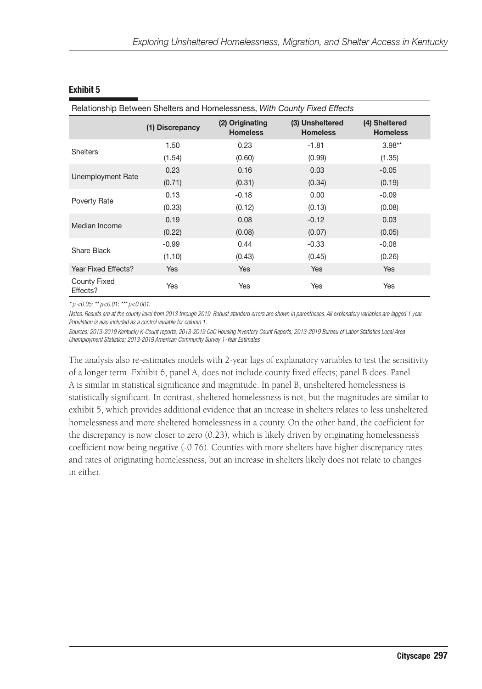| Relationship Between Shelters and Homelessness, With County Fixed Effects |                 |                                    |                                    |                                  |
|---------------------------------------------------------------------------|-----------------|------------------------------------|------------------------------------|----------------------------------|
|                                                                           | (1) Discrepancy | (2) Originating<br><b>Homeless</b> | (3) Unsheltered<br><b>Homeless</b> | (4) Sheltered<br><b>Homeless</b> |
| <b>Shelters</b>                                                           | 1.50            | 0.23                               | $-1.81$                            | $3.98**$                         |
|                                                                           | (1.54)          | (0.60)                             | (0.99)                             | (1.35)                           |
| Unemployment Rate                                                         | 0.23            | 0.16                               | 0.03                               | $-0.05$                          |
|                                                                           | (0.71)          | (0.31)                             | (0.34)                             | (0.19)                           |
| <b>Poverty Rate</b>                                                       | 0.13            | $-0.18$                            | 0.00                               | $-0.09$                          |
|                                                                           | (0.33)          | (0.12)                             | (0.13)                             | (0.08)                           |
| Median Income                                                             | 0.19            | 0.08                               | $-0.12$                            | 0.03                             |
|                                                                           | (0.22)          | (0.08)                             | (0.07)                             | (0.05)                           |
| Share Black                                                               | $-0.99$         | 0.44                               | $-0.33$                            | $-0.08$                          |
|                                                                           | (1.10)          | (0.43)                             | (0.45)                             | (0.26)                           |
| Year Fixed Effects?                                                       | <b>Yes</b>      | Yes                                | Yes                                | <b>Yes</b>                       |
| County Fixed<br>Effects?                                                  | Yes             | Yes                                | Yes                                | Yes                              |

*\* p <0.05; \*\* p<0.01; \*\*\* p<0.001.*

*Notes: Results are at the county level from 2013 through 2019. Robust standard errors are shown in parentheses. All explanatory variables are lagged 1 year. Population is also included as a control variable for column 1.*

*Sources: 2013-2019 Kentucky K-Count reports; 2013-2019 CoC Housing Inventory Count Reports; 2013-2019 Bureau of Labor Statistics Local Area Unemployment Statistics; 2013-2019 American Community Survey 1-Year Estimates*

The analysis also re-estimates models with 2-year lags of explanatory variables to test the sensitivity of a longer term. Exhibit 6, panel A, does not include county fixed effects; panel B does. Panel A is similar in statistical significance and magnitude. In panel B, unsheltered homelessness is statistically significant. In contrast, sheltered homelessness is not, but the magnitudes are similar to exhibit 5, which provides additional evidence that an increase in shelters relates to less unsheltered homelessness and more sheltered homelessness in a county. On the other hand, the coefficient for the discrepancy is now closer to zero (0.23), which is likely driven by originating homelessness's coefficient now being negative (-0.76). Counties with more shelters have higher discrepancy rates and rates of originating homelessness, but an increase in shelters likely does not relate to changes in either.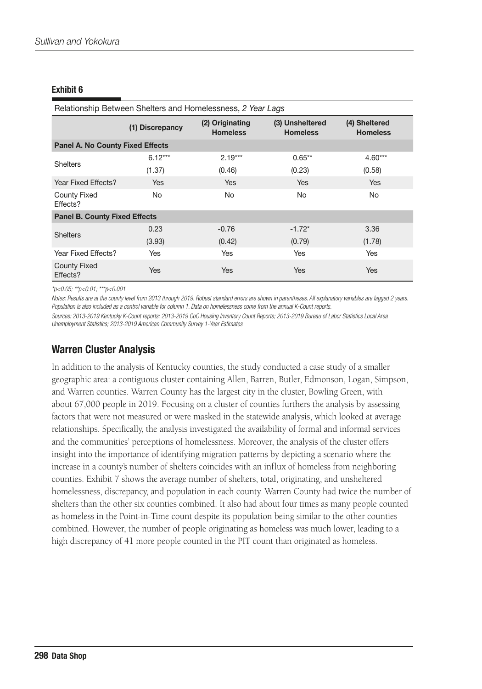| Relationship Between Shelters and Homelessness, 2 Year Lags |                 |                                    |                                    |                                  |  |
|-------------------------------------------------------------|-----------------|------------------------------------|------------------------------------|----------------------------------|--|
|                                                             | (1) Discrepancy | (2) Originating<br><b>Homeless</b> | (3) Unsheltered<br><b>Homeless</b> | (4) Sheltered<br><b>Homeless</b> |  |
| <b>Panel A. No County Fixed Effects</b>                     |                 |                                    |                                    |                                  |  |
| <b>Shelters</b>                                             | $6.12***$       | $2.19***$                          | $0.65**$                           | $4.60***$                        |  |
|                                                             | (1.37)          | (0.46)                             | (0.23)                             | (0.58)                           |  |
| Year Fixed Effects?                                         | <b>Yes</b>      | <b>Yes</b>                         | <b>Yes</b>                         | <b>Yes</b>                       |  |
| <b>County Fixed</b><br>Effects?                             | No.             | No.                                | No.                                | No                               |  |
| <b>Panel B. County Fixed Effects</b>                        |                 |                                    |                                    |                                  |  |
| <b>Shelters</b>                                             | 0.23            | $-0.76$                            | $-1.72*$                           | 3.36                             |  |
|                                                             | (3.93)          | (0.42)                             | (0.79)                             | (1.78)                           |  |
| Year Fixed Effects?                                         | Yes             | <b>Yes</b>                         | Yes                                | <b>Yes</b>                       |  |
| <b>County Fixed</b><br>Effects?                             | <b>Yes</b>      | <b>Yes</b>                         | <b>Yes</b>                         | <b>Yes</b>                       |  |

*\*p<0.05; \*\*p<0.01; \*\*\*p<0.001*

*Notes: Results are at the county level from 2013 through 2019. Robust standard errors are shown in parentheses. All explanatory variables are lagged 2 years. Population is also included as a control variable for column 1. Data on homelessness come from the annual K-Count reports.*

*Sources: 2013-2019 Kentucky K-Count reports; 2013-2019 CoC Housing Inventory Count Reports; 2013-2019 Bureau of Labor Statistics Local Area Unemployment Statistics; 2013-2019 American Community Survey 1-Year Estimates*

## Warren Cluster Analysis

In addition to the analysis of Kentucky counties, the study conducted a case study of a smaller geographic area: a contiguous cluster containing Allen, Barren, Butler, Edmonson, Logan, Simpson, and Warren counties. Warren County has the largest city in the cluster, Bowling Green, with about 67,000 people in 2019. Focusing on a cluster of counties furthers the analysis by assessing factors that were not measured or were masked in the statewide analysis, which looked at average relationships. Specifically, the analysis investigated the availability of formal and informal services and the communities' perceptions of homelessness. Moreover, the analysis of the cluster offers insight into the importance of identifying migration patterns by depicting a scenario where the increase in a county's number of shelters coincides with an influx of homeless from neighboring counties. Exhibit 7 shows the average number of shelters, total, originating, and unsheltered homelessness, discrepancy, and population in each county. Warren County had twice the number of shelters than the other six counties combined. It also had about four times as many people counted as homeless in the Point-in-Time count despite its population being similar to the other counties combined. However, the number of people originating as homeless was much lower, leading to a high discrepancy of 41 more people counted in the PIT count than originated as homeless.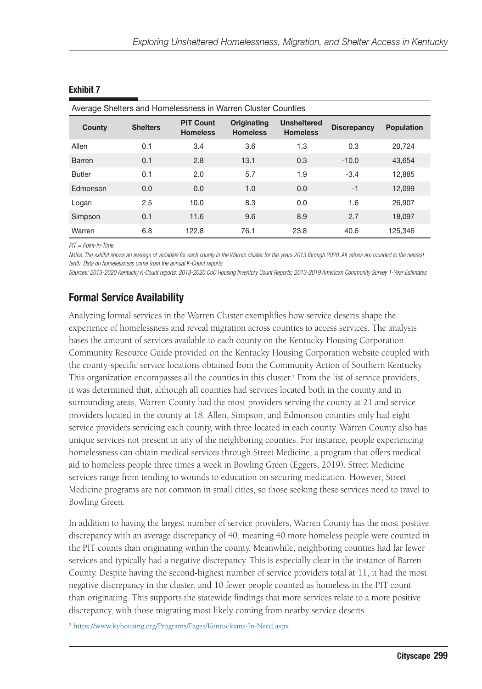| County        | <b>Shelters</b> | <b>PIT Count</b><br><b>Homeless</b> | Originating<br><b>Homeless</b> | <b>Unsheltered</b><br><b>Homeless</b> | <b>Discrepancy</b> | <b>Population</b> |
|---------------|-----------------|-------------------------------------|--------------------------------|---------------------------------------|--------------------|-------------------|
| Allen         | 0.1             | 3.4                                 | 3.6                            | 1.3                                   | 0.3                | 20.724            |
| <b>Barren</b> | 0.1             | 2.8                                 | 13.1                           | 0.3                                   | $-10.0$            | 43.654            |
| <b>Butler</b> | 0.1             | 2.0                                 | 5.7                            | 1.9                                   | $-3.4$             | 12.885            |
| Edmonson      | 0.0             | 0.0                                 | 1.0                            | 0.0                                   | $-1$               | 12,099            |
| Logan         | 2.5             | 10.0                                | 8.3                            | 0.0                                   | 1.6                | 26.907            |
| Simpson       | 0.1             | 11.6                                | 9.6                            | 8.9                                   | 2.7                | 18,097            |
| Warren        | 6.8             | 122.8                               | 76.1                           | 23.8                                  | 40.6               | 125,346           |

## *PIT = Point-in-Time.*

*Notes: The exhibit shows an average of variables for each county in the Warren cluster for the years 2013 through 2020. All values are rounded to the nearest tenth. Data on homelessness come from the annual K-Count reports.*

*Sources: 2013-2020 Kentucky K-Count reports; 2013-2020 CoC Housing Inventory Count Reports; 2013-2019 American Community Survey 1-Year Estimates*

## Formal Service Availability

Analyzing formal services in the Warren Cluster exemplifies how service deserts shape the experience of homelessness and reveal migration across counties to access services. The analysis bases the amount of services available to each county on the Kentucky Housing Corporation Community Resource Guide provided on the Kentucky Housing Corporation website coupled with the county-specific service locations obtained from the Community Action of Southern Kentucky. This organization encompasses all the counties in this cluster.2 From the list of service providers, it was determined that, although all counties had services located both in the county and in surrounding areas, Warren County had the most providers serving the county at 21 and service providers located in the county at 18. Allen, Simpson, and Edmonson counties only had eight service providers servicing each county, with three located in each county. Warren County also has unique services not present in any of the neighboring counties. For instance, people experiencing homelessness can obtain medical services through Street Medicine, a program that offers medical aid to homeless people three times a week in Bowling Green (Eggers, 2019). Street Medicine services range from tending to wounds to education on securing medication. However, Street Medicine programs are not common in small cities, so those seeking these services need to travel to Bowling Green.

In addition to having the largest number of service providers, Warren County has the most positive discrepancy with an average discrepancy of 40, meaning 40 more homeless people were counted in the PIT counts than originating within the county. Meanwhile, neighboring counties had far fewer services and typically had a negative discrepancy. This is especially clear in the instance of Barren County. Despite having the second-highest number of service providers total at 11, it had the most negative discrepancy in the cluster, and 10 fewer people counted as homeless in the PIT count than originating. This supports the statewide findings that more services relate to a more positive discrepancy, with those migrating most likely coming from nearby service deserts.

2 <https://www.kyhousing.org/Programs/Pages/Kentuckians-In-Need.aspx>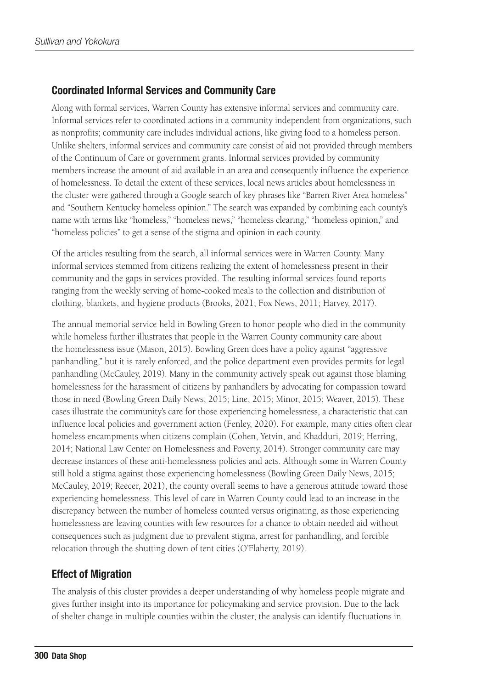## Coordinated Informal Services and Community Care

Along with formal services, Warren County has extensive informal services and community care. Informal services refer to coordinated actions in a community independent from organizations, such as nonprofits; community care includes individual actions, like giving food to a homeless person. Unlike shelters, informal services and community care consist of aid not provided through members of the Continuum of Care or government grants. Informal services provided by community members increase the amount of aid available in an area and consequently influence the experience of homelessness. To detail the extent of these services, local news articles about homelessness in the cluster were gathered through a Google search of key phrases like "Barren River Area homeless" and "Southern Kentucky homeless opinion." The search was expanded by combining each county's name with terms like "homeless," "homeless news," "homeless clearing," "homeless opinion," and "homeless policies" to get a sense of the stigma and opinion in each county.

Of the articles resulting from the search, all informal services were in Warren County. Many informal services stemmed from citizens realizing the extent of homelessness present in their community and the gaps in services provided. The resulting informal services found reports ranging from the weekly serving of home-cooked meals to the collection and distribution of clothing, blankets, and hygiene products (Brooks, 2021; Fox News, 2011; Harvey, 2017).

The annual memorial service held in Bowling Green to honor people who died in the community while homeless further illustrates that people in the Warren County community care about the homelessness issue (Mason, 2015). Bowling Green does have a policy against "aggressive panhandling," but it is rarely enforced, and the police department even provides permits for legal panhandling (McCauley, 2019). Many in the community actively speak out against those blaming homelessness for the harassment of citizens by panhandlers by advocating for compassion toward those in need (Bowling Green Daily News, 2015; Line, 2015; Minor, 2015; Weaver, 2015). These cases illustrate the community's care for those experiencing homelessness, a characteristic that can influence local policies and government action (Fenley, 2020). For example, many cities often clear homeless encampments when citizens complain (Cohen, Yetvin, and Khadduri, 2019; Herring, 2014; National Law Center on Homelessness and Poverty, 2014). Stronger community care may decrease instances of these anti-homelessness policies and acts. Although some in Warren County still hold a stigma against those experiencing homelessness (Bowling Green Daily News, 2015; McCauley, 2019; Reecer, 2021), the county overall seems to have a generous attitude toward those experiencing homelessness. This level of care in Warren County could lead to an increase in the discrepancy between the number of homeless counted versus originating, as those experiencing homelessness are leaving counties with few resources for a chance to obtain needed aid without consequences such as judgment due to prevalent stigma, arrest for panhandling, and forcible relocation through the shutting down of tent cities (O'Flaherty, 2019).

## Effect of Migration

The analysis of this cluster provides a deeper understanding of why homeless people migrate and gives further insight into its importance for policymaking and service provision. Due to the lack of shelter change in multiple counties within the cluster, the analysis can identify fluctuations in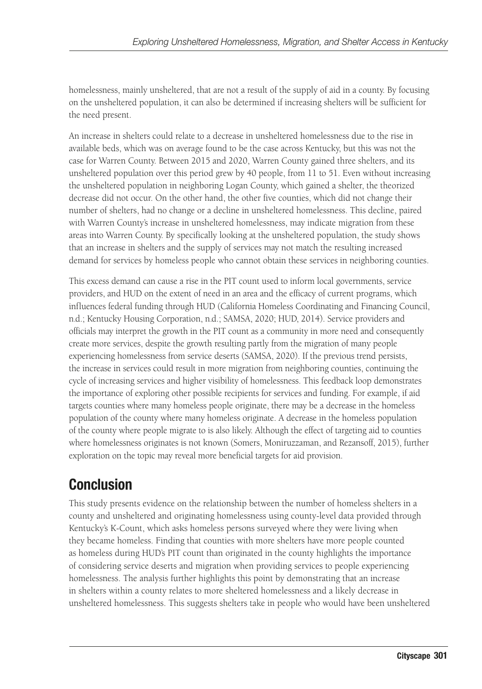homelessness, mainly unsheltered, that are not a result of the supply of aid in a county. By focusing on the unsheltered population, it can also be determined if increasing shelters will be sufficient for the need present.

An increase in shelters could relate to a decrease in unsheltered homelessness due to the rise in available beds, which was on average found to be the case across Kentucky, but this was not the case for Warren County. Between 2015 and 2020, Warren County gained three shelters, and its unsheltered population over this period grew by 40 people, from 11 to 51. Even without increasing the unsheltered population in neighboring Logan County, which gained a shelter, the theorized decrease did not occur. On the other hand, the other five counties, which did not change their number of shelters, had no change or a decline in unsheltered homelessness. This decline, paired with Warren County's increase in unsheltered homelessness, may indicate migration from these areas into Warren County. By specifically looking at the unsheltered population, the study shows that an increase in shelters and the supply of services may not match the resulting increased demand for services by homeless people who cannot obtain these services in neighboring counties.

This excess demand can cause a rise in the PIT count used to inform local governments, service providers, and HUD on the extent of need in an area and the efficacy of current programs, which influences federal funding through HUD (California Homeless Coordinating and Financing Council, n.d.; Kentucky Housing Corporation, n.d.; SAMSA, 2020; HUD, 2014). Service providers and officials may interpret the growth in the PIT count as a community in more need and consequently create more services, despite the growth resulting partly from the migration of many people experiencing homelessness from service deserts (SAMSA, 2020). If the previous trend persists, the increase in services could result in more migration from neighboring counties, continuing the cycle of increasing services and higher visibility of homelessness. This feedback loop demonstrates the importance of exploring other possible recipients for services and funding. For example, if aid targets counties where many homeless people originate, there may be a decrease in the homeless population of the county where many homeless originate. A decrease in the homeless population of the county where people migrate to is also likely. Although the effect of targeting aid to counties where homelessness originates is not known (Somers, Moniruzzaman, and Rezansoff, 2015), further exploration on the topic may reveal more beneficial targets for aid provision.

## Conclusion

This study presents evidence on the relationship between the number of homeless shelters in a county and unsheltered and originating homelessness using county-level data provided through Kentucky's K-Count, which asks homeless persons surveyed where they were living when they became homeless. Finding that counties with more shelters have more people counted as homeless during HUD's PIT count than originated in the county highlights the importance of considering service deserts and migration when providing services to people experiencing homelessness. The analysis further highlights this point by demonstrating that an increase in shelters within a county relates to more sheltered homelessness and a likely decrease in unsheltered homelessness. This suggests shelters take in people who would have been unsheltered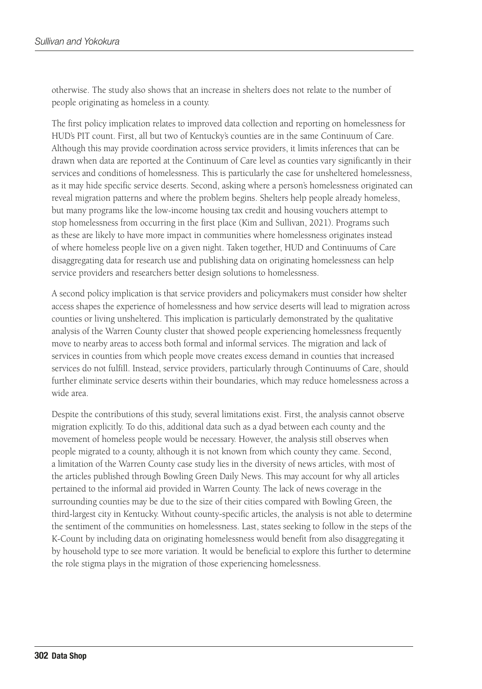otherwise. The study also shows that an increase in shelters does not relate to the number of people originating as homeless in a county.

The first policy implication relates to improved data collection and reporting on homelessness for HUD's PIT count. First, all but two of Kentucky's counties are in the same Continuum of Care. Although this may provide coordination across service providers, it limits inferences that can be drawn when data are reported at the Continuum of Care level as counties vary significantly in their services and conditions of homelessness. This is particularly the case for unsheltered homelessness, as it may hide specific service deserts. Second, asking where a person's homelessness originated can reveal migration patterns and where the problem begins. Shelters help people already homeless, but many programs like the low-income housing tax credit and housing vouchers attempt to stop homelessness from occurring in the first place (Kim and Sullivan, 2021). Programs such as these are likely to have more impact in communities where homelessness originates instead of where homeless people live on a given night. Taken together, HUD and Continuums of Care disaggregating data for research use and publishing data on originating homelessness can help service providers and researchers better design solutions to homelessness.

A second policy implication is that service providers and policymakers must consider how shelter access shapes the experience of homelessness and how service deserts will lead to migration across counties or living unsheltered. This implication is particularly demonstrated by the qualitative analysis of the Warren County cluster that showed people experiencing homelessness frequently move to nearby areas to access both formal and informal services. The migration and lack of services in counties from which people move creates excess demand in counties that increased services do not fulfill. Instead, service providers, particularly through Continuums of Care, should further eliminate service deserts within their boundaries, which may reduce homelessness across a wide area.

Despite the contributions of this study, several limitations exist. First, the analysis cannot observe migration explicitly. To do this, additional data such as a dyad between each county and the movement of homeless people would be necessary. However, the analysis still observes when people migrated to a county, although it is not known from which county they came. Second, a limitation of the Warren County case study lies in the diversity of news articles, with most of the articles published through Bowling Green Daily News. This may account for why all articles pertained to the informal aid provided in Warren County. The lack of news coverage in the surrounding counties may be due to the size of their cities compared with Bowling Green, the third-largest city in Kentucky. Without county-specific articles, the analysis is not able to determine the sentiment of the communities on homelessness. Last, states seeking to follow in the steps of the K-Count by including data on originating homelessness would benefit from also disaggregating it by household type to see more variation. It would be beneficial to explore this further to determine the role stigma plays in the migration of those experiencing homelessness.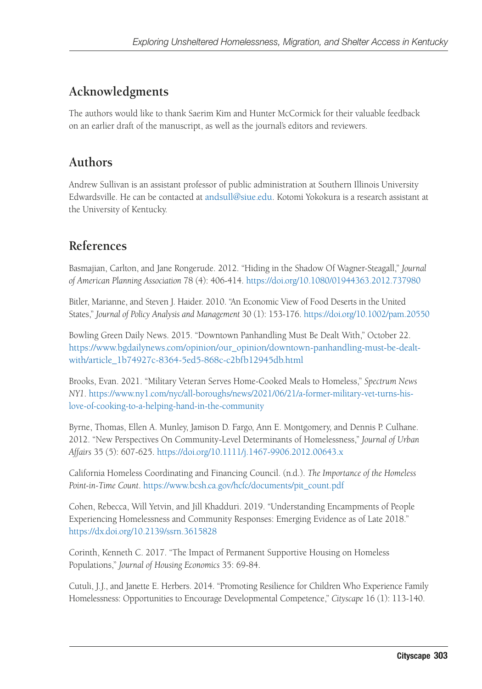## **Acknowledgments**

The authors would like to thank Saerim Kim and Hunter McCormick for their valuable feedback on an earlier draft of the manuscript, as well as the journal's editors and reviewers.

## **Authors**

Andrew Sullivan is an assistant professor of public administration at Southern Illinois University Edwardsville. He can be contacted at [andsull@siue.edu.](mailto:andsull@siue.edu) Kotomi Yokokura is a research assistant at the University of Kentucky.

## **References**

Basmajian, Carlton, and Jane Rongerude. 2012. "Hiding in the Shadow Of Wagner-Steagall," *Journal of American Planning Association* 78 (4): 406-414.<https://doi.org/10.1080/01944363.2012.737980>

Bitler, Marianne, and Steven J. Haider. 2010. "An Economic View of Food Deserts in the United States," *Journal of Policy Analysis and Management* 30 (1): 153-176. <https://doi.org/10.1002/pam.20550>

Bowling Green Daily News. 2015. "Downtown Panhandling Must Be Dealt With," October 22. [https://www.bgdailynews.com/opinion/our\\_opinion/downtown-panhandling-must-be-dealt](https://www.bgdailynews.com/opinion/our_opinion/downtown-panhandling-must-be-dealt-with/article_1b74927c-8364-5ed5-868c-c2bfb12945db.html)[with/article\\_1b74927c-8364-5ed5-868c-c2bfb12945db.html](https://www.bgdailynews.com/opinion/our_opinion/downtown-panhandling-must-be-dealt-with/article_1b74927c-8364-5ed5-868c-c2bfb12945db.html)

Brooks, Evan. 2021. "Military Veteran Serves Home-Cooked Meals to Homeless," *Spectrum News NY1*. [https://www.ny1.com/nyc/all-boroughs/news/2021/06/21/a-former-military-vet-turns-his](https://www.ny1.com/nyc/all-boroughs/news/2021/06/21/a-former-military-vet-turns-his-love-of-cooking-to-a-helping-hand-in-the-community)[love-of-cooking-to-a-helping-hand-in-the-community](https://www.ny1.com/nyc/all-boroughs/news/2021/06/21/a-former-military-vet-turns-his-love-of-cooking-to-a-helping-hand-in-the-community)

Byrne, Thomas, Ellen A. Munley, Jamison D. Fargo, Ann E. Montgomery, and Dennis P. Culhane. 2012. "New Perspectives On Community-Level Determinants of Homelessness," *Journal of Urban Affairs* 35 (5): 607-625.<https://doi.org/10.1111/j.1467-9906.2012.00643.x>

California Homeless Coordinating and Financing Council. (n.d.). *The Importance of the Homeless Point-in-Time Count*. [https://www.bcsh.ca.gov/hcfc/documents/pit\\_count.pdf](https://www.bcsh.ca.gov/hcfc/documents/pit_count.pdf)

Cohen, Rebecca, Will Yetvin, and Jill Khadduri. 2019. "Understanding Encampments of People Experiencing Homelessness and Community Responses: Emerging Evidence as of Late 2018." <https://dx.doi.org/10.2139/ssrn.3615828>

Corinth, Kenneth C. 2017. "The Impact of Permanent Supportive Housing on Homeless Populations," *Journal of Housing Economics* 35: 69-84.

Cutuli, J.J., and Janette E. Herbers. 2014. "Promoting Resilience for Children Who Experience Family Homelessness: Opportunities to Encourage Developmental Competence," *Cityscape* 16 (1): 113-140.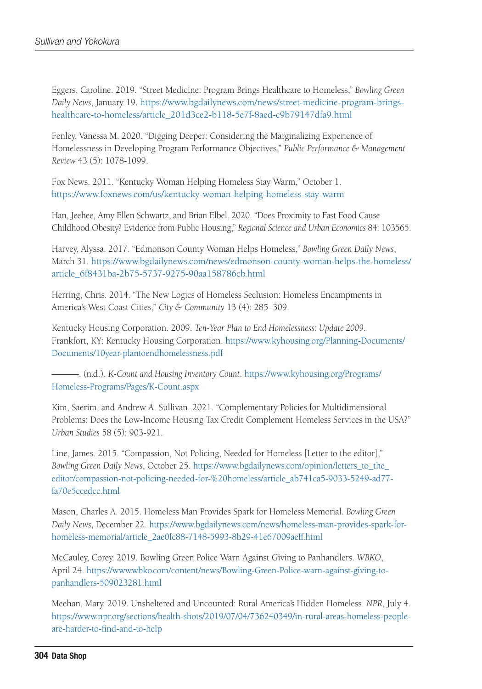Eggers, Caroline. 2019. "Street Medicine: Program Brings Healthcare to Homeless," *Bowling Green Daily News*, January 19. [https://www.bgdailynews.com/news/street-medicine-program-brings](https://www.bgdailynews.com/news/street-medicine-program-brings-healthcare-to-homeless/article_201d3ce2-b118-5e7f-8aed-c9b79147dfa9.html)[healthcare-to-homeless/article\\_201d3ce2-b118-5e7f-8aed-c9b79147dfa9.html](https://www.bgdailynews.com/news/street-medicine-program-brings-healthcare-to-homeless/article_201d3ce2-b118-5e7f-8aed-c9b79147dfa9.html)

Fenley, Vanessa M. 2020. "Digging Deeper: Considering the Marginalizing Experience of Homelessness in Developing Program Performance Objectives," *Public Performance & Management Review* 43 (5): 1078-1099.

Fox News. 2011. "Kentucky Woman Helping Homeless Stay Warm," October 1. <https://www.foxnews.com/us/kentucky-woman-helping-homeless-stay-warm>

Han, Jeehee, Amy Ellen Schwartz, and Brian Elbel. 2020. "Does Proximity to Fast Food Cause Childhood Obesity? Evidence from Public Housing," *Regional Science and Urban Economics* 84: 103565.

Harvey, Alyssa. 2017. "Edmonson County Woman Helps Homeless," *Bowling Green Daily News*, March 31. [https://www.bgdailynews.com/news/edmonson-county-woman-helps-the-homeless/](https://www.bgdailynews.com/news/edmonson-county-woman-helps-the-homeless/article_6f8431ba-2b75-5737-9275-90aa158786cb.html) [article\\_6f8431ba-2b75-5737-9275-90aa158786cb.html](https://www.bgdailynews.com/news/edmonson-county-woman-helps-the-homeless/article_6f8431ba-2b75-5737-9275-90aa158786cb.html)

Herring, Chris. 2014. "The New Logics of Homeless Seclusion: Homeless Encampments in America's West Coast Cities," *City & Community* 13 (4): 285–309.

Kentucky Housing Corporation. 2009. *Ten-Year Plan to End Homelessness: Update 2009*. Frankfort, KY: Kentucky Housing Corporation. [https://www.kyhousing.org/Planning-Documents/](https://www.kyhousing.org/Planning-Documents/Documents/10year-plantoendhomelessness.pdf) [Documents/10year-plantoendhomelessness.pdf](https://www.kyhousing.org/Planning-Documents/Documents/10year-plantoendhomelessness.pdf)

———. (n.d.). *K-Count and Housing Inventory Count*. [https://www.kyhousing.org/Programs/](https://www.kyhousing.org/Programs/Homeless-Programs/Pages/K-Count.aspx) [Homeless-Programs/Pages/K-Count.aspx](https://www.kyhousing.org/Programs/Homeless-Programs/Pages/K-Count.aspx)

Kim, Saerim, and Andrew A. Sullivan. 2021. "Complementary Policies for Multidimensional Problems: Does the Low-Income Housing Tax Credit Complement Homeless Services in the USA?" *Urban Studies* 58 (5): 903-921.

Line, James. 2015. "Compassion, Not Policing, Needed for Homeless [Letter to the editor]," *Bowling Green Daily News*, October 25. [https://www.bgdailynews.com/opinion/letters\\_to\\_the\\_](https://www.bgdailynews.com/opinion/letters_to_the_editor/compassion-not-policing-needed-for-%20homeless/article_ab741ca5-9033-5249-ad77-fa70e5ccedcc.html) [editor/compassion-not-policing-needed-for-%20homeless/article\\_ab741ca5-9033-5249-ad77](https://www.bgdailynews.com/opinion/letters_to_the_editor/compassion-not-policing-needed-for-%20homeless/article_ab741ca5-9033-5249-ad77-fa70e5ccedcc.html) [fa70e5ccedcc.html](https://www.bgdailynews.com/opinion/letters_to_the_editor/compassion-not-policing-needed-for-%20homeless/article_ab741ca5-9033-5249-ad77-fa70e5ccedcc.html)

Mason, Charles A. 2015. Homeless Man Provides Spark for Homeless Memorial. *Bowling Green Daily News*, December 22. [https://www.bgdailynews.com/news/homeless-man-provides-spark-for](https://www.bgdailynews.com/news/homeless-man-provides-spark-for-homeless-memorial/article_2ae0fc88-7148-5993-8b29-41e67009aeff.html)[homeless-memorial/article\\_2ae0fc88-7148-5993-8b29-41e67009aeff.html](https://www.bgdailynews.com/news/homeless-man-provides-spark-for-homeless-memorial/article_2ae0fc88-7148-5993-8b29-41e67009aeff.html)

McCauley, Corey. 2019. Bowling Green Police Warn Against Giving to Panhandlers. *WBKO*, April 24. [https://www.wbko.com/content/news/Bowling-Green-Police-warn-against-giving-to](https://www.wbko.com/content/news/Bowling-Green-Police-warn-against-giving-to-panhandlers-509023281.html)[panhandlers-509023281.html](https://www.wbko.com/content/news/Bowling-Green-Police-warn-against-giving-to-panhandlers-509023281.html)

Meehan, Mary. 2019. Unsheltered and Uncounted: Rural America's Hidden Homeless. *NPR*, July 4. [https://www.npr.org/sections/health-shots/2019/07/04/736240349/in-rural-areas-homeless-people](https://www.npr.org/sections/health-shots/2019/07/04/736240349/in-rural-areas-homeless-people-are-harder-to-find-and-to-help)[are-harder-to-find-and-to-help](https://www.npr.org/sections/health-shots/2019/07/04/736240349/in-rural-areas-homeless-people-are-harder-to-find-and-to-help)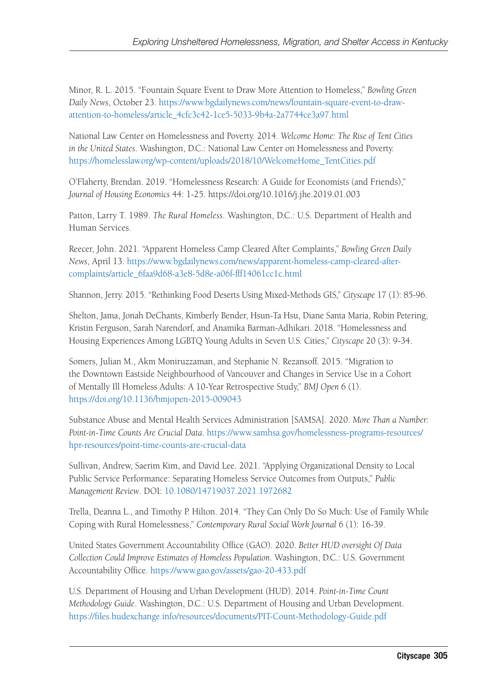Minor, R. L. 2015. "Fountain Square Event to Draw More Attention to Homeless," *Bowling Green Daily News*, October 23. [https://www.bgdailynews.com/news/fountain-square-event-to-draw](https://www.bgdailynews.com/news/fountain-square-event-to-draw-attention-to-homeless/article_4cfc3c42-1ce5-5033-9b4a-2a7744ce3a97.html)[attention-to-homeless/article\\_4cfc3c42-1ce5-5033-9b4a-2a7744ce3a97.html](https://www.bgdailynews.com/news/fountain-square-event-to-draw-attention-to-homeless/article_4cfc3c42-1ce5-5033-9b4a-2a7744ce3a97.html)

National Law Center on Homelessness and Poverty. 2014. *Welcome Home: The Rise of Tent Cities in the United States*. Washington, D.C.: National Law Center on Homelessness and Poverty. [https://homelesslaw.org/wp-content/uploads/2018/10/WelcomeHome\\_TentCities.pdf](https://homelesslaw.org/wp-content/uploads/2018/10/WelcomeHome_TentCities.pdf)

O'Flaherty, Brendan. 2019. "Homelessness Research: A Guide for Economists (and Friends)," *Journal of Housing Economics* 44: 1-25. https://doi.org/10.1016/j.jhe.2019.01.003

Patton, Larry T. 1989. *The Rural Homeless*. Washington, D.C.: U.S. Department of Health and Human Services.

Reecer, John. 2021. "Apparent Homeless Camp Cleared After Complaints," *Bowling Green Daily News*, April 13. [https://www.bgdailynews.com/news/apparent-homeless-camp-cleared-after](https://www.bgdailynews.com/news/apparent-homeless-camp-cleared-after-complaints/article_6faa9d68-a3e8-5d8e-a06f-fff14061cc1c.html)[complaints/article\\_6faa9d68-a3e8-5d8e-a06f-fff14061cc1c.html](https://www.bgdailynews.com/news/apparent-homeless-camp-cleared-after-complaints/article_6faa9d68-a3e8-5d8e-a06f-fff14061cc1c.html)

Shannon, Jerry. 2015. "Rethinking Food Deserts Using Mixed-Methods GIS," *Cityscape* 17 (1): 85-96.

Shelton, Jama, Jonah DeChants, Kimberly Bender, Hsun-Ta Hsu, Diane Santa Maria, Robin Petering, Kristin Ferguson, Sarah Narendorf, and Anamika Barman-Adhikari. 2018. "Homelessness and Housing Experiences Among LGBTQ Young Adults in Seven U.S. Cities," *Cityscape* 20 (3): 9-34.

Somers, Julian M., Akm Moniruzzaman, and Stephanie N. Rezansoff. 2015. "Migration to the Downtown Eastside Neighbourhood of Vancouver and Changes in Service Use in a Cohort of Mentally Ill Homeless Adults: A 10-Year Retrospective Study," *BMJ Open* 6 (1). <https://doi.org/10.1136/bmjopen-2015-009043>

Substance Abuse and Mental Health Services Administration [SAMSA]. 2020. *More Than a Number: Point-in-Time Counts Are Crucial Data*. [https://www.samhsa.gov/homelessness-programs-resources/](https://www.samhsa.gov/homelessness-programs-resources/hpr-resources/point-time-counts-are-crucial-data) [hpr-resources/point-time-counts-are-crucial-data](https://www.samhsa.gov/homelessness-programs-resources/hpr-resources/point-time-counts-are-crucial-data)

Sullivan, Andrew, Saerim Kim, and David Lee. 2021. "Applying Organizational Density to Local Public Service Performance: Separating Homeless Service Outcomes from Outputs," *Public Management Review*. DOI: [10.1080/14719037.2021.1972682](https://www.tandfonline.com/doi/full/10.1080/14719037.2021.1972682)

Trella, Deanna L., and Timothy P. Hilton. 2014. "They Can Only Do So Much: Use of Family While Coping with Rural Homelessness," *Contemporary Rural Social Work Journal* 6 (1): 16-39.

United States Government Accountability Office (GAO). 2020. *Better HUD oversight Of Data Collection Could Improve Estimates of Homeless Population*. Washington, D.C.: U.S. Government Accountability Office.<https://www.gao.gov/assets/gao-20-433.pdf>

U.S. Department of Housing and Urban Development (HUD). 2014. *Point-in-Time Count Methodology Guide*. Washington, D.C.: U.S. Department of Housing and Urban Development. <https://files.hudexchange.info/resources/documents/PIT-Count-Methodology-Guide.pdf>